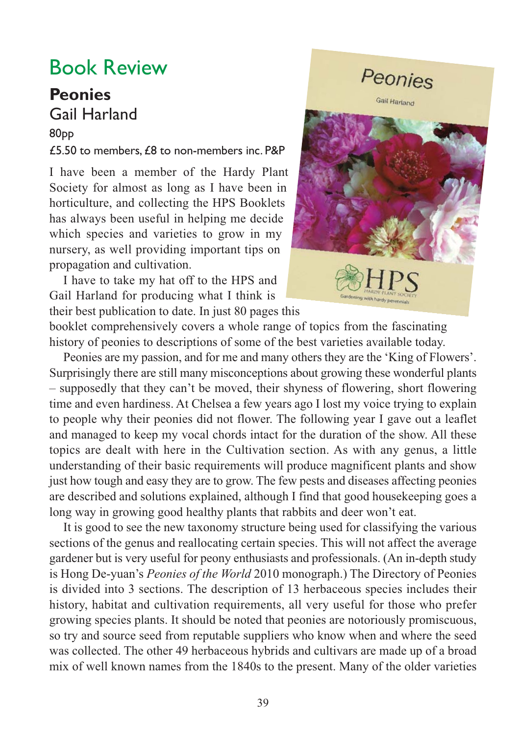## Book Review

## **Peonies**  Gail Harland

## 80pp

## £5.50 to members, £8 to non-members inc. P&P

I have been a member of the Hardy Plant Society for almost as long as I have been in horticulture, and collecting the HPS Booklets has always been useful in helping me decide which species and varieties to grow in my nursery, as well providing important tips on propagation and cultivation.

I have to take my hat off to the HPS and Gail Harland for producing what I think is their best publication to date. In just 80 pages this



booklet comprehensively covers a whole range of topics from the fascinating history of peonies to descriptions of some of the best varieties available today.

Peonies are my passion, and for me and many others they are the 'King of Flowers'. Surprisingly there are still many misconceptions about growing these wonderful plants – supposedly that they can't be moved, their shyness of flowering, short flowering time and even hardiness. At Chelsea a few years ago I lost my voice trying to explain to people why their peonies did not flower. The following year I gave out a leaflet and managed to keep my vocal chords intact for the duration of the show. All these topics are dealt with here in the Cultivation section. As with any genus, a little understanding of their basic requirements will produce magnificent plants and show just how tough and easy they are to grow. The few pests and diseases affecting peonies are described and solutions explained, although I find that good housekeeping goes a long way in growing good healthy plants that rabbits and deer won't eat.

It is good to see the new taxonomy structure being used for classifying the various sections of the genus and reallocating certain species. This will not affect the average gardener but is very useful for peony enthusiasts and professionals. (An in-depth study is Hong De-yuan's *Peonies of the World* 2010 monograph.) The Directory of Peonies is divided into 3 sections. The description of 13 herbaceous species includes their history, habitat and cultivation requirements, all very useful for those who prefer growing species plants. It should be noted that peonies are notoriously promiscuous, so try and source seed from reputable suppliers who know when and where the seed was collected. The other 49 herbaceous hybrids and cultivars are made up of a broad mix of well known names from the 1840s to the present. Many of the older varieties